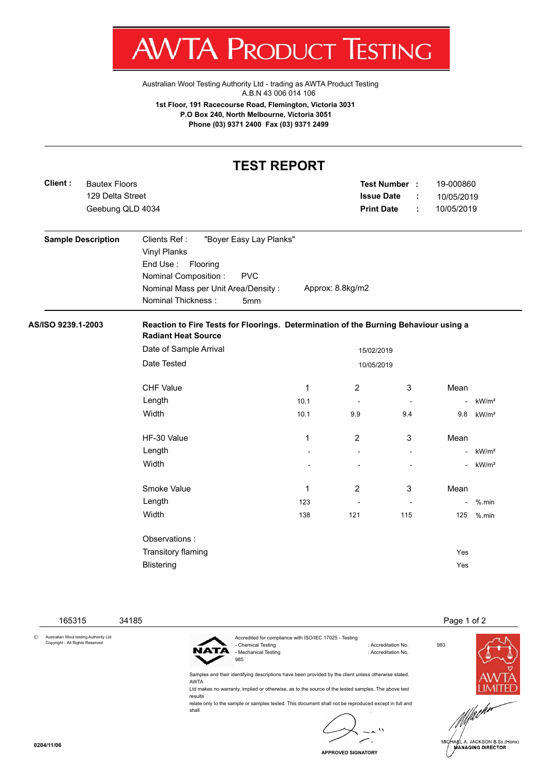:STING

[Australian Wool Testing Authority Ltd - trading as AWTA Product Testing](http://www.awtaproducttesting.com.au/) A.B.N 43 006 014 106

**1st Floor, 191 Racecourse Road, Flemington, Victoria 3031 P.O Box 240, North Melbourne, Victoria 3051 Phone (03) 9371 2400 Fax (03) 9371 2499**

## **TEST REPORT** 129 Delta Street **Test Number : Issue Date :** 19-000860 Geebung QLD 4034 **Print Date :** 10/05/2019 Bautex Floors 10/05/2019 **Sample Description** Clients Ref : "Boyer Easy Lay Planks" Vinyl Planks End Use : Flooring Nominal Composition : PVC Nominal Mass per Unit Area/Density : Approx: 8.8kg/m2 Nominal Thickness : 5mm **AS/ISO 9239.1-2003 Reaction to Fire Tests for Floorings. Determination of the Burning Behaviour using a Radiant Heat Source** Date of Sample Arrival 15/02/2019 Date Tested 2006/2019 CHF Value 1 2 3 Mean Length 10.1 - - - kW/m² Width 10.1 9.9 9.4 9.8 kW/m² HF-30 Value 2 3 Mean Network 1 2 3 Mean Length - - - - kW/m² Width - - - - kW/m² Smoke Value **1** 2 3 Mean Length 123 - - - %.min Width 138 121 115 125 %.min Observations : Transitory flaming **Yes** Blistering Yes

 165315 34185 Page 1 of 2 © Australian Wool testing Authority Ltd Copyright - All Rights Reserved Accredited for compliance with ISO/IEC 17025 - Testing - Chemical Testing : Accreditation No. 983 - Mechanical Testing **intervalse in the Contract Contract Contract Contract Contract Contract Contract Contract Contract Contract Contract Contract Contract Contract Contract Contract Contract Contract Contract Contract Co** 985 Samples and their identifying descriptions have been provided by the client unless otherwise stated. AWTA Ltd makes no warranty, implied or otherwise, as to the source of the tested samples. The above test results relate only to the sample or samples tested. This document shall not be reproduced except in full and shall

**Client :**

**APPROVED SIGNATORY**

A. JACKSON B.Sc.(Hons) **MANAGING DIRECTOR**